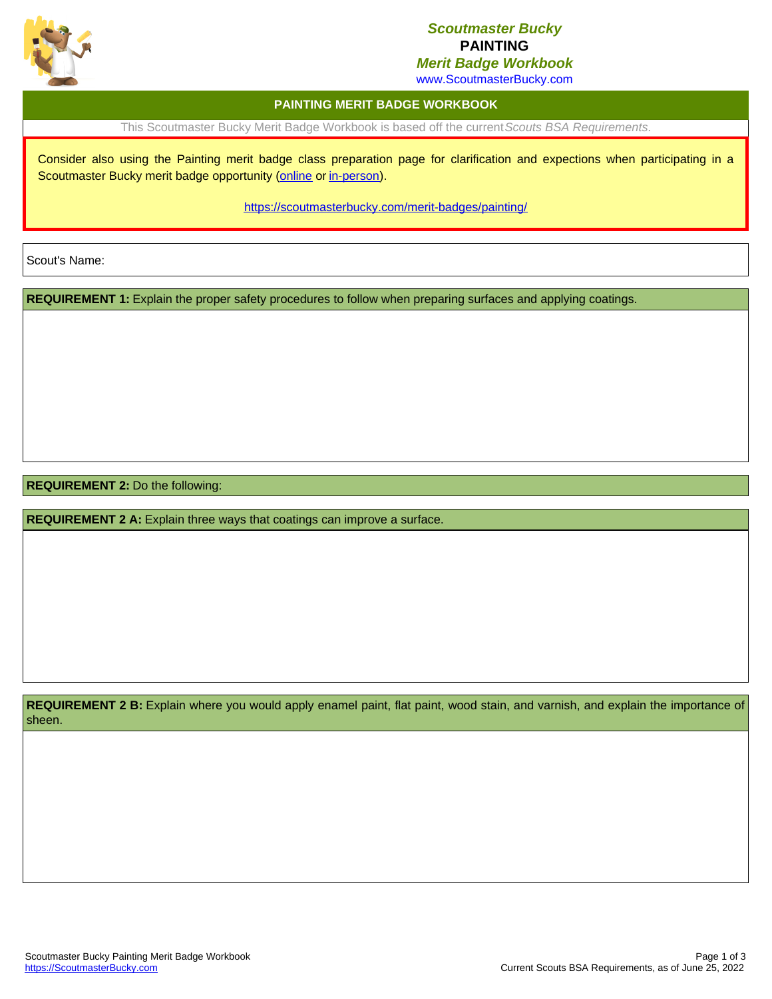

## *Scoutmaster Bucky* **PAINTING**

*Merit Badge Workbook*

www.ScoutmasterBucky.com

## **PAINTING MERIT BADGE WORKBOOK**

This Scoutmaster Bucky Merit Badge Workbook is based off the current*Scouts BSA Requirements*.

Consider also using the Painting merit badge class preparation page for clarification and expections when participating in a Scoutmaster Bucky merit badge opportunity ([online](http://localhost:8080/merit-badges/painting/?notes=online) or [in-person](http://localhost:8080/merit-badges/painting/?notes=inPerson)).

<https://scoutmasterbucky.com/merit-badges/painting/>

Scout's Name:

**REQUIREMENT 1:** Explain the proper safety procedures to follow when preparing surfaces and applying coatings.

**REQUIREMENT 2:** Do the following:

**REQUIREMENT 2 A:** Explain three ways that coatings can improve a surface.

**REQUIREMENT 2 B:** Explain where you would apply enamel paint, flat paint, wood stain, and varnish, and explain the importance of sheen.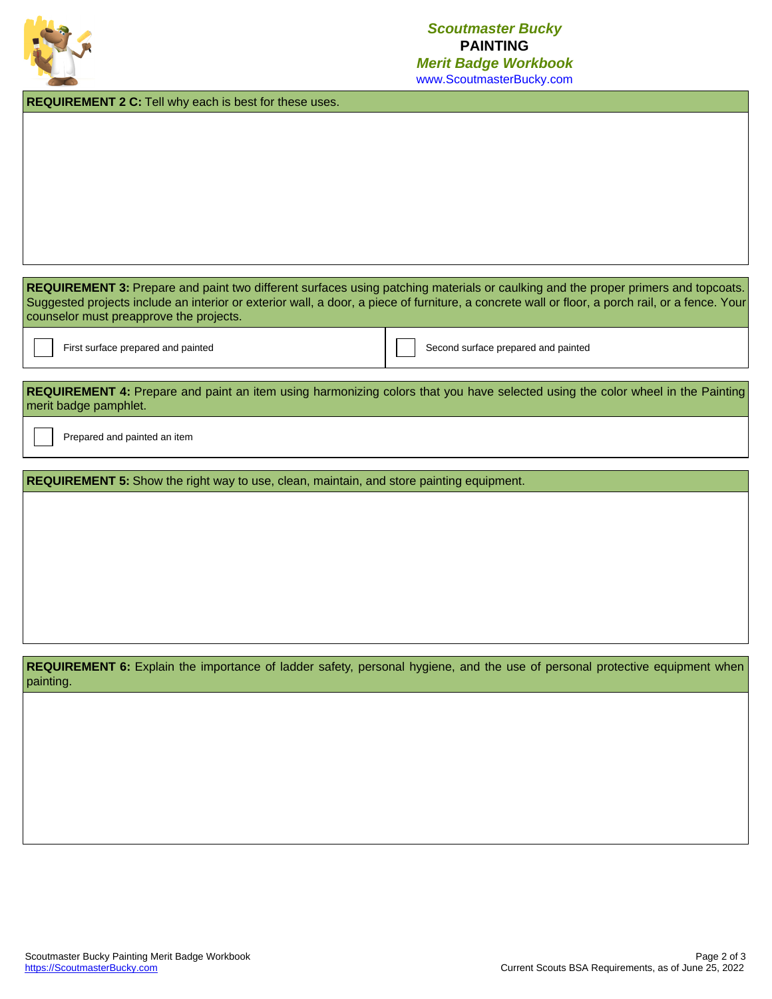

**REQUIREMENT 2 C:** Tell why each is best for these uses.

REQUIREMENT 3: Prepare and paint two different surfaces using patching materials or caulking and the proper primers and topcoats. Suggested projects include an interior or exterior wall, a door, a piece of furniture, a concrete wall or floor, a porch rail, or a fence. Your counselor must preapprove the projects.

First surface prepared and painted Second Surface prepared and painted Second surface prepared and painted

**REQUIREMENT 4:** Prepare and paint an item using harmonizing colors that you have selected using the color wheel in the Painting merit badge pamphlet.

Prepared and painted an item

**REQUIREMENT 5:** Show the right way to use, clean, maintain, and store painting equipment.

REQUIREMENT 6: Explain the importance of ladder safety, personal hygiene, and the use of personal protective equipment when painting.